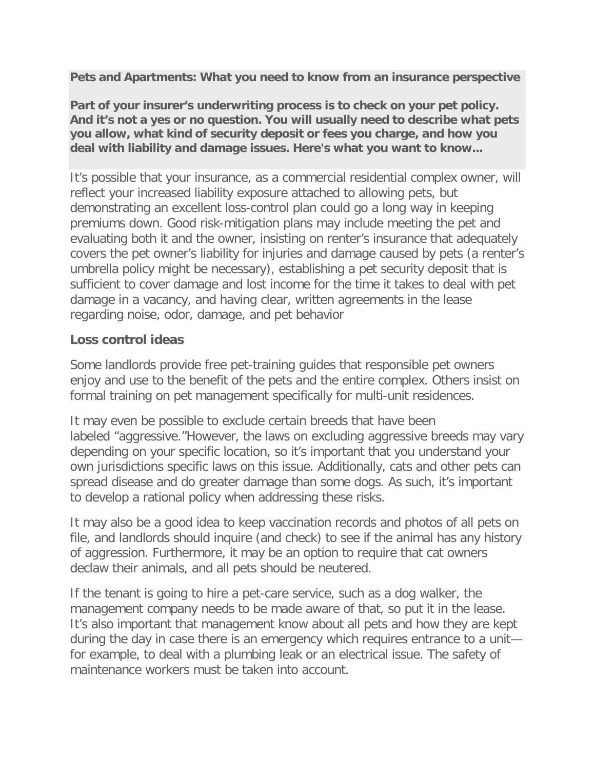**Pets and Apartments: What you need to know from an insurance perspective**

**Part of your insurer's underwriting process is to check on your pet policy. And it's not a yes or no question. You will usually need to describe what pets you allow, what kind of security deposit or fees you charge, and how you deal with liability and damage issues. Here's what you want to know...**

It's possible that your insurance, as a commercial residential complex owner, will reflect your increased liability exposure attached to allowing pets, but demonstrating an excellent loss-control plan could go a long way in keeping premiums down. Good risk-mitigation plans may include meeting the pet and evaluating both it and the owner, insisting on renter's insurance that adequately covers the pet owner's liability for injuries and damage caused by pets (a renter's umbrella policy might be necessary), establishing a pet security deposit that is sufficient to cover damage and lost income for the time it takes to deal with pet damage in a vacancy, and having clear, written agreements in the lease regarding noise, odor, damage, and pet behavior

## **Loss control ideas**

Some landlords provide free pet-training guides that responsible pet owners enjoy and use to the benefit of the pets and the entire complex. Others insist on formal training on pet management specifically for multi-unit residences.

It may even be possible to exclude certain breeds that have been labeled "aggressive."However, the laws on excluding aggressive breeds may vary depending on your specific location, so it's important that you understand your own jurisdictions specific laws on this issue. Additionally, cats and other pets can spread disease and do greater damage than some dogs. As such, it's important to develop a rational policy when addressing these risks.

It may also be a good idea to keep vaccination records and photos of all pets on file, and landlords should inquire (and check) to see if the animal has any history of aggression. Furthermore, it may be an option to require that cat owners declaw their animals, and all pets should be neutered.

If the tenant is going to hire a pet-care service, such as a dog walker, the management company needs to be made aware of that, so put it in the lease. It's also important that management know about all pets and how they are kept during the day in case there is an emergency which requires entrance to a unit for example, to deal with a plumbing leak or an electrical issue. The safety of maintenance workers must be taken into account.